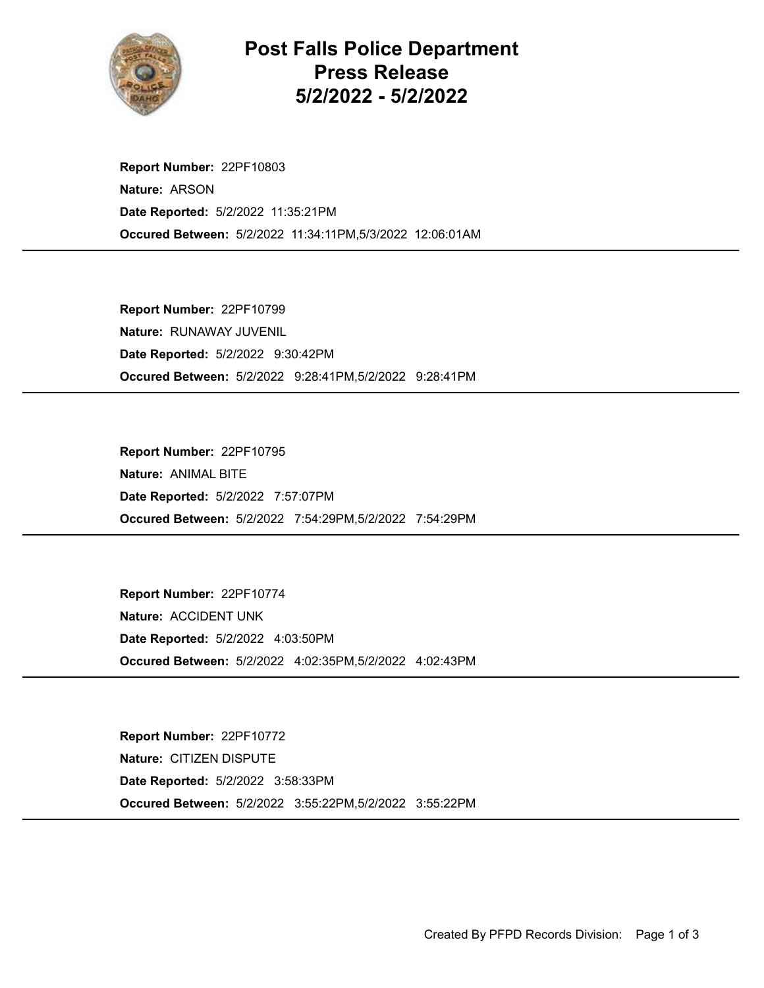

Post Falls Police Department Press Release 5/2/2022 - 5/2/2022

Occured Between: 5/2/2022 11:34:11PM,5/3/2022 12:06:01AM Report Number: 22PF10803 Nature: ARSON Date Reported: 5/2/2022 11:35:21PM

Occured Between: 5/2/2022 9:28:41PM,5/2/2022 9:28:41PM Report Number: 22PF10799 Nature: RUNAWAY JUVENIL Date Reported: 5/2/2022 9:30:42PM

Occured Between: 5/2/2022 7:54:29PM,5/2/2022 7:54:29PM Report Number: 22PF10795 Nature: ANIMAL BITE Date Reported: 5/2/2022 7:57:07PM

Occured Between: 5/2/2022 4:02:35PM,5/2/2022 4:02:43PM Report Number: 22PF10774 Nature: ACCIDENT UNK Date Reported: 5/2/2022 4:03:50PM

Occured Between: 5/2/2022 3:55:22PM,5/2/2022 3:55:22PM Report Number: 22PF10772 Nature: CITIZEN DISPUTE Date Reported: 5/2/2022 3:58:33PM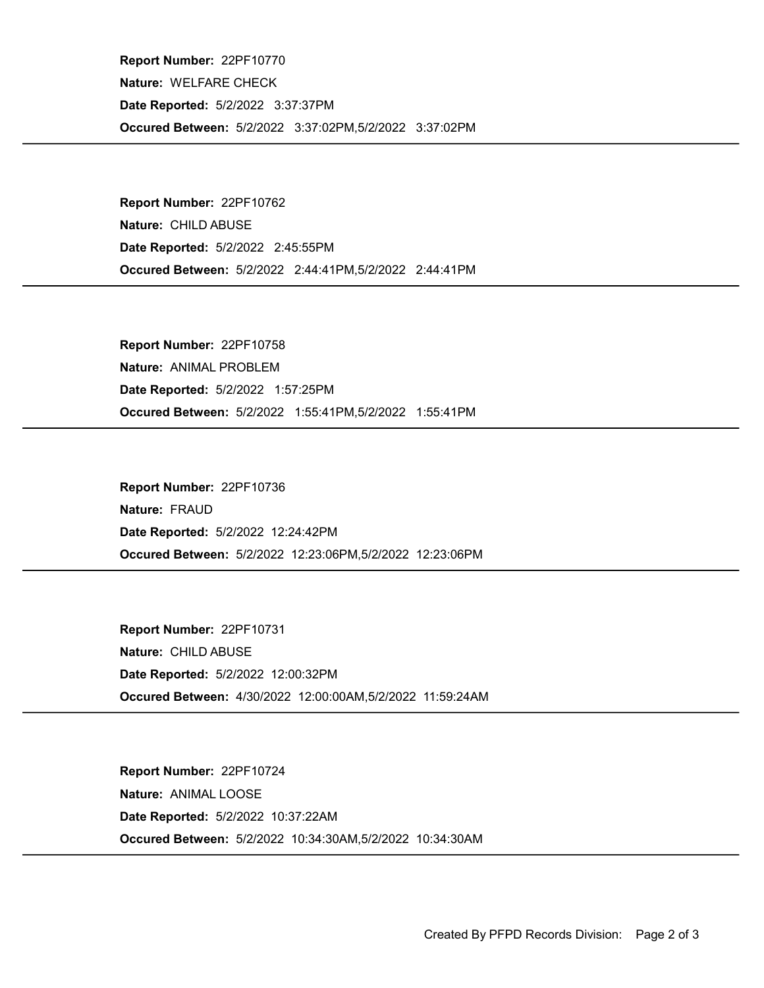Occured Between: 5/2/2022 3:37:02PM,5/2/2022 3:37:02PM Report Number: 22PF10770 Nature: WELFARE CHECK Date Reported: 5/2/2022 3:37:37PM

Occured Between: 5/2/2022 2:44:41PM,5/2/2022 2:44:41PM Report Number: 22PF10762 Nature: CHILD ABUSE Date Reported: 5/2/2022 2:45:55PM

Occured Between: 5/2/2022 1:55:41PM,5/2/2022 1:55:41PM Report Number: 22PF10758 Nature: ANIMAL PROBLEM Date Reported: 5/2/2022 1:57:25PM

Occured Between: 5/2/2022 12:23:06PM,5/2/2022 12:23:06PM Report Number: 22PF10736 Nature: FRAUD Date Reported: 5/2/2022 12:24:42PM

Occured Between: 4/30/2022 12:00:00AM,5/2/2022 11:59:24AM Report Number: 22PF10731 Nature: CHILD ABUSE Date Reported: 5/2/2022 12:00:32PM

Occured Between: 5/2/2022 10:34:30AM,5/2/2022 10:34:30AM Report Number: 22PF10724 Nature: ANIMAL LOOSE Date Reported: 5/2/2022 10:37:22AM